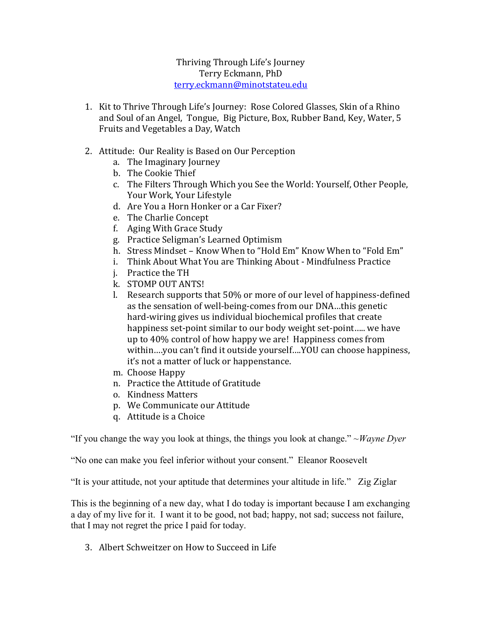## Thriving Through Life's Journey Terry Eckmann, PhD [terry.eckmann@minotstateu.edu](mailto:terry.eckmann@minotstateu.edu)

- 1. Kit to Thrive Through Life's Journey: Rose Colored Glasses, Skin of a Rhino and Soul of an Angel, Tongue, Big Picture, Box, Rubber Band, Key, Water, 5 Fruits and Vegetables a Day, Watch
- 2. Attitude: Our Reality is Based on Our Perception
	- a. The Imaginary Journey
	- b. The Cookie Thief
	- c. The Filters Through Which you See the World: Yourself, Other People, Your Work, Your Lifestyle
	- d. Are You a Horn Honker or a Car Fixer?
	- e. The Charlie Concept
	- f. Aging With Grace Study
	- g. Practice Seligman's Learned Optimism
	- h. Stress Mindset Know When to "Hold Em" Know When to "Fold Em"
	- i. Think About What You are Thinking About Mindfulness Practice
	- j. Practice the TH
	- k. STOMP OUT ANTS!
	- l. Research supports that 50% or more of our level of happiness-defined as the sensation of well-being-comes from our DNA…this genetic hard-wiring gives us individual biochemical profiles that create happiness set-point similar to our body weight set-point….. we have up to 40% control of how happy we are! Happiness comes from within….you can't find it outside yourself….YOU can choose happiness, it's not a matter of luck or happenstance.
	- m. Choose Happy
	- n. Practice the Attitude of Gratitude
	- o. Kindness Matters
	- p. We Communicate our Attitude
	- q. Attitude is a Choice

"If you change the way you look at things, the things you look at change." ~*Wayne Dyer*

"No one can make you feel inferior without your consent." Eleanor Roosevelt

"It is your attitude, not your aptitude that determines your altitude in life." Zig Ziglar

This is the beginning of a new day, what I do today is important because I am exchanging a day of my live for it. I want it to be good, not bad; happy, not sad; success not failure, that I may not regret the price I paid for today.

3. Albert Schweitzer on How to Succeed in Life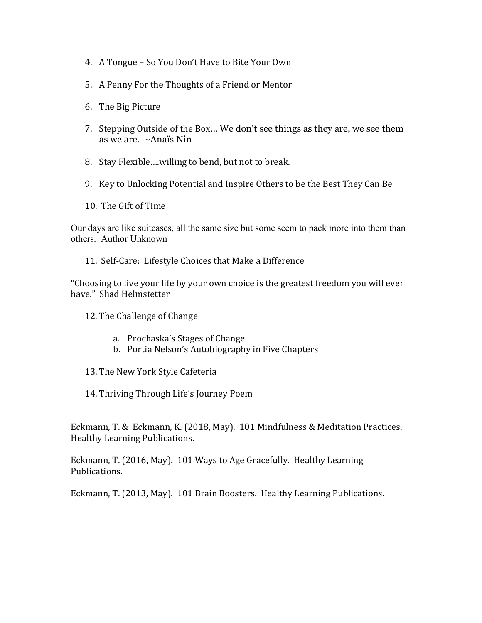- 4. A Tongue So You Don't Have to Bite Your Own
- 5. A Penny For the Thoughts of a Friend or Mentor
- 6. The Big Picture
- 7. Stepping Outside of the Box… We don't see things as they are, we see them as we are. ~Anaïs Nin
- 8. Stay Flexible….willing to bend, but not to break.
- 9. Key to Unlocking Potential and Inspire Others to be the Best They Can Be
- 10. The Gift of Time

Our days are like suitcases, all the same size but some seem to pack more into them than others. Author Unknown

11. Self-Care: Lifestyle Choices that Make a Difference

"Choosing to live your life by your own choice is the greatest freedom you will ever have." Shad Helmstetter

- 12. The Challenge of Change
	- a. Prochaska's Stages of Change
	- b. Portia Nelson's Autobiography in Five Chapters
- 13. The New York Style Cafeteria
- 14. Thriving Through Life's Journey Poem

Eckmann, T. & Eckmann, K. (2018, May). 101 Mindfulness & Meditation Practices. Healthy Learning Publications.

Eckmann, T. (2016, May). 101 Ways to Age Gracefully. Healthy Learning Publications.

Eckmann, T. (2013, May). 101 Brain Boosters. Healthy Learning Publications.